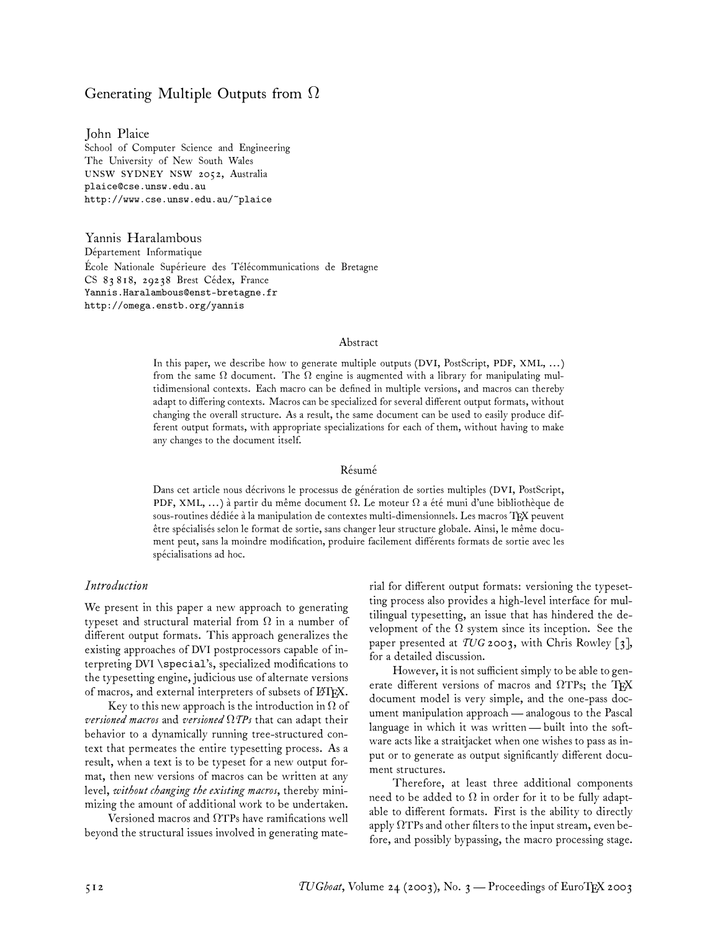# Generating Multiple Outputs from Ω

John Plaice School of Computer Science and Engineering The University of New South Wales UNSW SYDNEY NSW 2052, Australia plaice@cse.unsw.edu.au http://www.cse.unsw.edu.au/~plaice

Yannis Haralambous Département Informatique École Nationale Supérieure des Télécommunications de Bretagne CS 83 818, 29238 Brest Cédex, France Yannis.Haralambous@enst-bretagne.fr http://omega.enstb.org/yannis

#### Abstract

In this paper, we describe how to generate multiple outputs (DVI, PostScript, PDF, XML, ...) from the same  $\Omega$  document. The  $\Omega$  engine is augmented with a library for manipulating multidimensional contexts. Each macro can be defined in multiple versions, and macros can thereby adapt to differing contexts. Macros can be specialized for several different output formats, without changing the overall structure. As a result, the same document can be used to easily produce different output formats, with appropriate specializations for each of them, without having to make any changes to the document itself.

### Résumé

Dans cet article nous décrivons le processus de génération de sorties multiples (DVI, PostScript, PDF, XML, ...) à partir du même document  $\Omega$ . Le moteur  $\Omega$  a été muni d'une bibliothèque de sous-routines dédiée à la manipulation de contextes multi-dimensionnels. Les macros TEX peuvent être spécialisés selon le format de sortie, sans changer leur structure globale. Ainsi, le même document peut, sans la moindre modification, produire facilement différents formats de sortie avec les spécialisations ad hoc.

### *Introduction*

We present in this paper a new approach to generating typeset and structural material from  $\Omega$  in a number of different output formats. This approach generalizes the existing approaches of DVI postprocessors capable of interpreting DVI \special's, specialized modifications to the typesetting engine, judicious use of alternate versions of macros, and external interpreters of subsets of LATEX.

Key to this new approach is the introduction in  $\Omega$  of *versioned macros* and *versioned* Ω*TPs* that can adapt their behavior to a dynamically running tree-structured context that permeates the entire typesetting process. As a result, when a text is to be typeset for a new output format, then new versions of macros can be written at any level, *without changing the existing macros*, thereby minimizing the amount of additional work to be undertaken.

Versioned macros and ΩTPs have ramifications well beyond the structural issues involved in generating material for different output formats: versioning the typesetting process also provides a high-level interface for multilingual typesetting, an issue that has hindered the development of the  $\Omega$  system since its inception. See the paper presented at *TUG 2003*, with Chris Rowley [3], for a detailed discussion.

However, it is not sufficient simply to be able to generate different versions of macros and  $\Omega$ TPs; the TFX document model is very simple, and the one-pass document manipulation approach — analogous to the Pascal language in which it was written— built into the software acts like a straitjacket when one wishes to pass as input or to generate as output significantly different document structures.

Therefore, at least three additional components need to be added to  $\Omega$  in order for it to be fully adaptable to different formats. First is the ability to directly apply  $\Omega$ TPs and other filters to the input stream, even before, and possibly bypassing, the macro processing stage.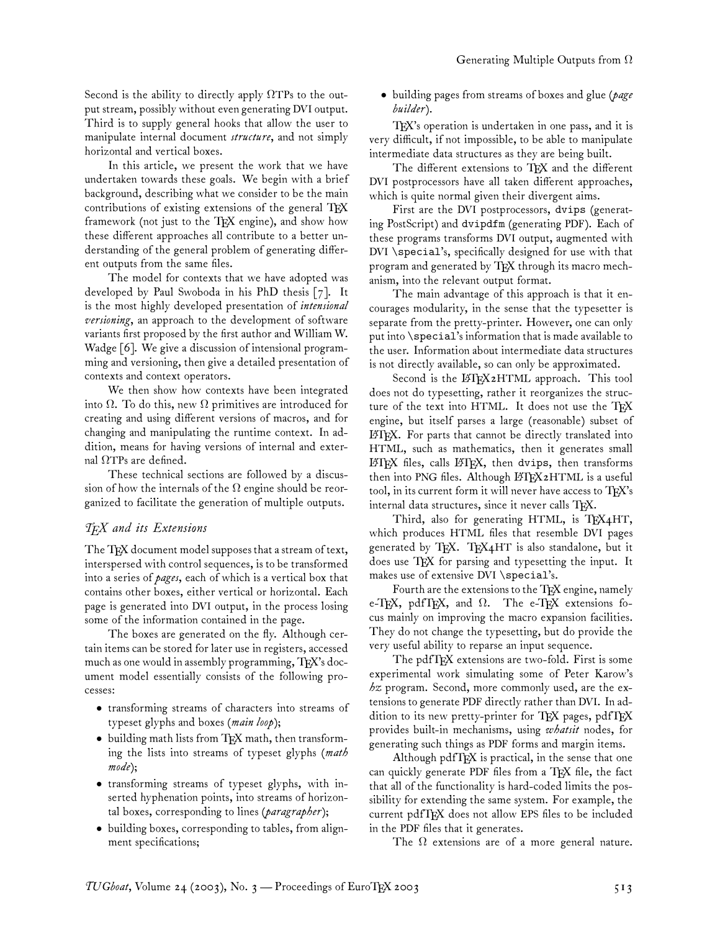Second is the ability to directly apply  $\Omega$ TPs to the output stream, possibly without even generating DVI output. Third is to supply general hooks that allow the user to manipulate internal document *structure*, and not simply horizontal and vertical boxes.

In this article, we present the work that we have undertaken towards these goals. We begin with a brief background, describing what we consider to be the main contributions of existing extensions of the general TEX framework (not just to the  $T_{F}X$  engine), and show how these different approaches all contribute to a better understanding of the general problem of generating different outputs from the same files.

The model for contexts that we have adopted was developed by Paul Swoboda in his PhD thesis [7]. It is the most highly developed presentation of *intensional versioning*, an approach to the development of software variants first proposed by the first author and William W. Wadge [6]. We give a discussion of intensional programming and versioning, then give a detailed presentation of contexts and context operators.

We then show how contexts have been integrated into  $\Omega$ . To do this, new  $\Omega$  primitives are introduced for creating and using different versions of macros, and for changing and manipulating the runtime context. In addition, means for having versions of internal and external ΩTPs are defined.

These technical sections are followed by a discussion of how the internals of the  $\Omega$  engine should be reorganized to facilitate the generation of multiple outputs.

# *TEX and its Extensions*

The TFX document model supposes that a stream of text, interspersed with control sequences, is to be transformed into a series of *pages*, each of which is a vertical box that contains other boxes, either vertical or horizontal. Each page is generated into DVI output, in the process losing some of the information contained in the page.

The boxes are generated on the fly. Although certain items can be stored for later use in registers, accessed much as one would in assembly programming, TFX's document model essentially consists of the following processes:

- transforming streams of characters into streams of typeset glyphs and boxes (*main loop*);
- building math lists from TFX math, then transforming the lists into streams of typeset glyphs (*math mode*);
- transforming streams of typeset glyphs, with inserted hyphenation points, into streams of horizontal boxes, corresponding to lines (*paragrapher*);
- building boxes, corresponding to tables, from alignment specifications;

• building pages from streams of boxes and glue (*page builder*).

TFX's operation is undertaken in one pass, and it is very difficult, if not impossible, to be able to manipulate intermediate data structures as they are being built.

The different extensions to TFX and the different DVI postprocessors have all taken different approaches, which is quite normal given their divergent aims.

First are the DVI postprocessors, dvips (generating PostScript) and dvipdfm (generating PDF). Each of these programs transforms DVI output, augmented with DVI \special's, specifically designed for use with that program and generated by TEX through its macro mechanism, into the relevant output format.

The main advantage of this approach is that it encourages modularity, in the sense that the typesetter is separate from the pretty-printer. However, one can only put into \special's information that is made available to the user. Information about intermediate data structures is not directly available, so can only be approximated.

Second is the LATEX2HTML approach. This tool does not do typesetting, rather it reorganizes the structure of the text into HTML. It does not use the TFX engine, but itself parses a large (reasonable) subset of L<sup>A</sup>TEX. For parts that cannot be directly translated into HTML, such as mathematics, then it generates small  $\LaTeX$  files, calls  $\LaTeX{}$ , then dvips, then transforms then into PNG files. Although LATEX2HTML is a useful tool, in its current form it will never have access to TEX's internal data structures, since it never calls TFX.

Third, also for generating HTML, is TFX4HT, which produces HTML files that resemble DVI pages generated by TEX. TEX4HT is also standalone, but it does use TEX for parsing and typesetting the input. It makes use of extensive DVI \special's.

Fourth are the extensions to the TFX engine, namely e-TEX, pdfTEX, and  $\Omega$ . The e-TEX extensions focus mainly on improving the macro expansion facilities. They do not change the typesetting, but do provide the very useful ability to reparse an input sequence.

The pdfTEX extensions are two-fold. First is some experimental work simulating some of Peter Karow's *hz* program. Second, more commonly used, are the extensions to generate PDF directly rather than DVI. In addition to its new pretty-printer for TFX pages, pdfTFX provides built-in mechanisms, using *whatsit* nodes, for generating such things as PDF forms and margin items.

Although pdfTFX is practical, in the sense that one can quickly generate PDF files from a TFX file, the fact that all of the functionality is hard-coded limits the possibility for extending the same system. For example, the current pdfTEX does not allow EPS files to be included in the PDF files that it generates.

The  $\Omega$  extensions are of a more general nature.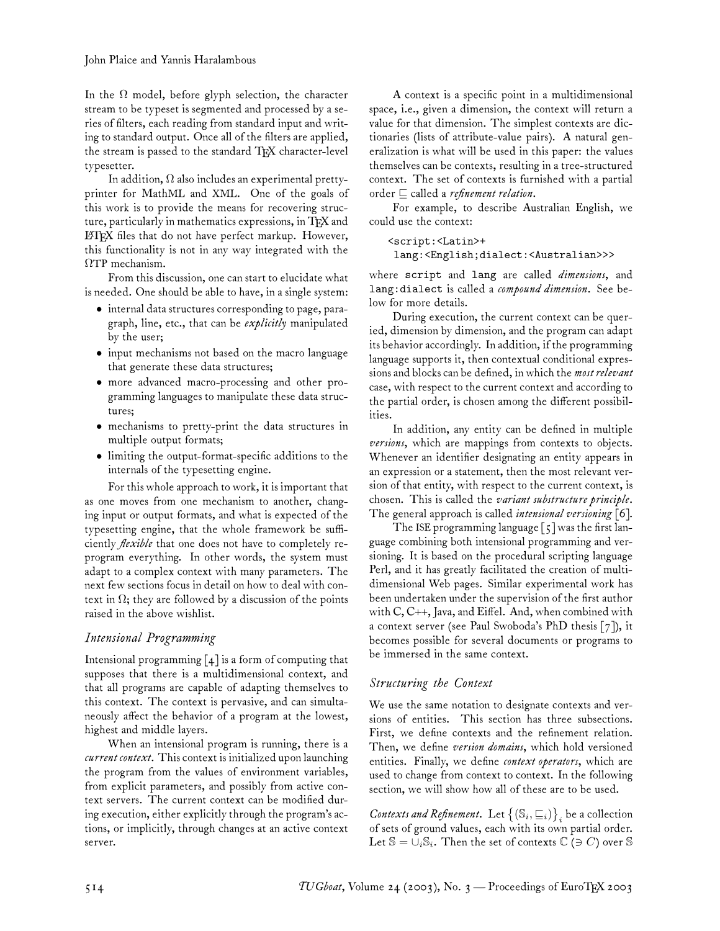In the  $\Omega$  model, before glyph selection, the character stream to be typeset is segmented and processed by a series of filters, each reading from standard input and writing to standard output. Once all of the filters are applied, the stream is passed to the standard  $T_{F}X$  character-level typesetter.

In addition,  $\Omega$  also includes an experimental prettyprinter for MathML and XML. One of the goals of this work is to provide the means for recovering structure, particularly in mathematics expressions, in TFX and L<sup>A</sup>TEX files that do not have perfect markup. However, this functionality is not in any way integrated with the ΩTP mechanism.

From this discussion, one can start to elucidate what is needed. One should be able to have, in a single system:

- internal data structures corresponding to page, paragraph, line, etc., that can be *explicitly* manipulated by the user;
- input mechanisms not based on the macro language that generate these data structures;
- more advanced macro-processing and other programming languages to manipulate these data structures;
- mechanisms to pretty-print the data structures in multiple output formats;
- limiting the output-format-specific additions to the internals of the typesetting engine.

For this whole approach to work, it is important that as one moves from one mechanism to another, changing input or output formats, and what is expected of the typesetting engine, that the whole framework be sufficiently *flexible* that one does not have to completely reprogram everything. In other words, the system must adapt to a complex context with many parameters. The next few sections focus in detail on how to deal with context in  $\Omega$ ; they are followed by a discussion of the points raised in the above wishlist.

# *Intensional Programming*

Intensional programming  $\lceil 4 \rceil$  is a form of computing that supposes that there is a multidimensional context, and that all programs are capable of adapting themselves to this context. The context is pervasive, and can simultaneously affect the behavior of a program at the lowest, highest and middle layers.

When an intensional program is running, there is a *current context*. This context is initialized upon launching the program from the values of environment variables, from explicit parameters, and possibly from active context servers. The current context can be modified during execution, either explicitly through the program's actions, or implicitly, through changes at an active context server.

A context is a specific point in a multidimensional space, i.e., given a dimension, the context will return a value for that dimension. The simplest contexts are dictionaries (lists of attribute-value pairs). A natural generalization is what will be used in this paper: the values themselves can be contexts, resulting in a tree-structured context. The set of contexts is furnished with a partial order ⊑ called a *refinement relation*.

For example, to describe Australian English, we could use the context:

### <script:<Latin>+

lang:<English;dialect:<Australian>>>

where script and lang are called *dimensions*, and lang:dialect is called a *compound dimension*. See below for more details.

During execution, the current context can be queried, dimension by dimension, and the program can adapt its behavior accordingly. In addition, if the programming language supports it, then contextual conditional expressions and blocks can be defined, in which the *most relevant* case, with respect to the current context and according to the partial order, is chosen among the different possibilities.

In addition, any entity can be defined in multiple *versions*, which are mappings from contexts to objects. Whenever an identifier designating an entity appears in an expression or a statement, then the most relevant version of that entity, with respect to the current context, is chosen. This is called the *variant substructure principle*. The general approach is called *intensional versioning* [6].

The ISE programming language [5] was the first language combining both intensional programming and versioning. It is based on the procedural scripting language Perl, and it has greatly facilitated the creation of multidimensional Web pages. Similar experimental work has been undertaken under the supervision of the first author with C, C++, Java, and Eiffel. And, when combined with a context server (see Paul Swoboda's PhD thesis [7]), it becomes possible for several documents or programs to be immersed in the same context.

# *Structuring the Context*

We use the same notation to designate contexts and versions of entities. This section has three subsections. First, we define contexts and the refinement relation. Then, we define *version domains*, which hold versioned entities. Finally, we define *context operators*, which are used to change from context to context. In the following section, we will show how all of these are to be used.

*Contexts and Refinement.* Let  $\{(\mathbb{S}_i, \sqsubseteq_i)\}_i$  be a collection of sets of ground values, each with its own partial order. Let  $\mathbb{S} = \overline{\cup_i} \mathbb{S}_i.$  Then the set of contexts  $\mathbb{C} \, \overline{ \big( \ni C \big)}$  over  $\mathbb{S}$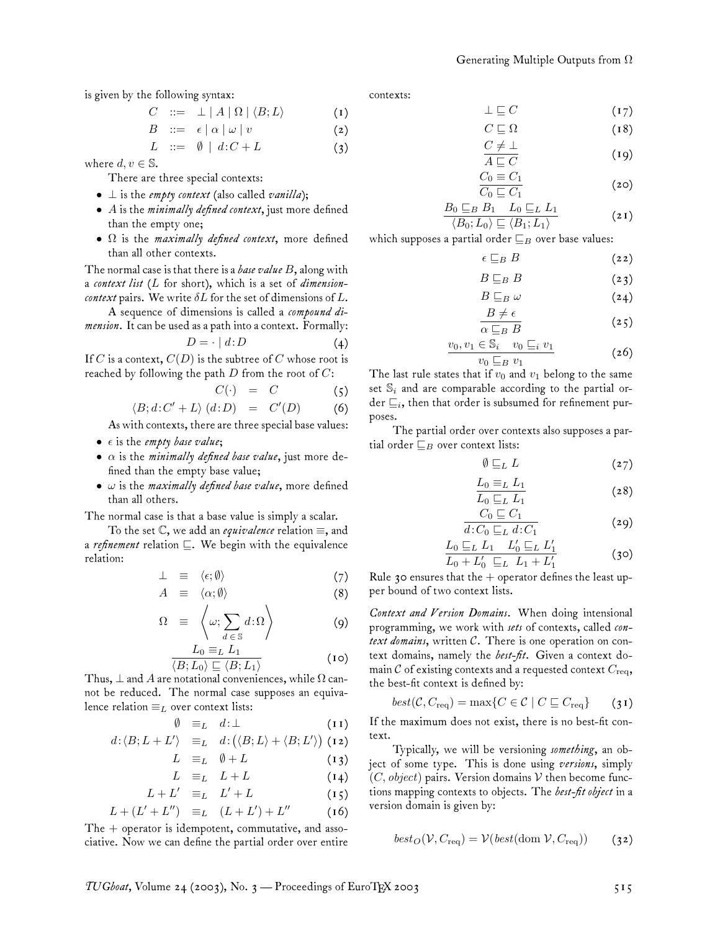is given by the following syntax:

$$
C \quad ::= \quad \bot \mid A \mid \Omega \mid \langle B; L \rangle \tag{1}
$$

$$
B \quad ::= \quad \epsilon \mid \alpha \mid \omega \mid v \tag{2}
$$

$$
L \quad ::= \quad \emptyset \mid d \colon C + L \tag{3}
$$

where  $d, v \in \mathbb{S}$ .

There are three special contexts:

- ⊥ is the *empty context* (also called *vanilla*);
- A is the *minimally defined context*, just more defined than the empty one;
- Ω is the *maximally defined context*, more defined than all other contexts.

The normal case is that there is a*base value* B, along with a *context list* (L for short), which is a set of *dimensioncontext* pairs. We write  $\delta L$  for the set of dimensions of  $L$ .

A sequence of dimensions is called a *compound dimension*. It can be used as a path into a context. Formally:

$$
D = \cdot \mid d : D \tag{4}
$$

If C is a context,  $C(D)$  is the subtree of C whose root is reached by following the path  $D$  from the root of  $C$ :

$$
C(\cdot) = C \tag{5}
$$

$$
\langle B; d:C'+L\rangle\ (d:D) = C'(D) \qquad (6)
$$

- As with contexts, there are three special base values:
- $\bullet$   $\epsilon$  is the *empty base value*;
- α is the *minimally defined base value*, just more defined than the empty base value;
- ω is the *maximally defined base value*, more defined than all others.

The normal case is that a base value is simply a scalar.

To the set C, we add an *equivalence* relation ≡, and a *refinement* relation ⊑. We begin with the equivalence relation:

$$
\perp \equiv \langle \epsilon ; \emptyset \rangle \tag{7}
$$

$$
A \equiv \langle \alpha; \emptyset \rangle \tag{8}
$$

$$
\Omega \equiv \left\langle \omega; \sum_{d \in \mathbb{S}} d \,:\Omega \right\rangle \tag{9}
$$

$$
\frac{L_0 \equiv_L L_1}{\langle B; L_0 \rangle \sqsubseteq \langle B; L_1 \rangle} \tag{10}
$$

Thus,  $\perp$  and A are notational conveniences, while  $\Omega$  cannot be reduced. The normal case supposes an equivalence relation  $\equiv_L$  over context lists:

$$
\emptyset \equiv_L d:\perp \qquad (\text{11})
$$

$$
d\colon\!\langle B;L+L'\rangle\quad\equiv_L\quad d\colon\!\big(\langle B;L\rangle+\langle B;L'\rangle\big)\,\,(\textbf{12})
$$

$$
L \equiv_L \quad \emptyset + L \tag{13}
$$

$$
L \equiv_L L + L \tag{14}
$$

$$
L + L' \equiv_L L' + L \tag{15}
$$

$$
L + (L' + L'') \equiv_L (L + L') + L'' \qquad (16)
$$

The  $+$  operator is idempotent, commutative, and associative. Now we can define the partial order over entire contexts:

$$
\perp \sqsubseteq C \tag{17}
$$

$$
C \sqsubseteq \Omega \tag{18}
$$

$$
\frac{C \neq \bot}{A \sqsubseteq C} \tag{19}
$$

$$
\frac{C_0 \equiv C_1}{C_0 \sqsubseteq C_1} \tag{20}
$$

$$
\frac{B_0 \sqsubseteq_B B_1 \quad L_0 \sqsubseteq_L L_1}{\langle B_0; L_0 \rangle \sqsubseteq \langle B_1; L_1 \rangle} \tag{21}
$$

which supposes a partial order  $\sqsubseteq_B$  over base values:

$$
\epsilon \sqsubseteq_B B \tag{22}
$$

$$
B \sqsubseteq_B B \tag{23}
$$

$$
B \sqsubseteq_B \omega \tag{24}
$$

$$
\frac{B \neq \epsilon}{\alpha \sqsubseteq_B B} \tag{25}
$$

$$
\begin{array}{ll}\n\upsilon_0, v_1 \in \mathbb{S}_i & v_0 \sqsubseteq_i v_1 \\
\hline\nv_0 \sqsubseteq_B v_1\n\end{array} \tag{26}
$$

The last rule states that if 
$$
v_0
$$
 and  $v_1$  belong to the same  
set  $\mathbb{S}_i$  and are comparable according to the partial or-  
der  $\sqsubseteq_i$ , then that order is subsumed for refinement pur-  
poses.

The partial order over contexts also supposes a partial order  $\sqsubseteq_B$  over context lists:

$$
\emptyset \sqsubseteq_L L \tag{27}
$$

$$
\frac{L_0 \equiv_L L_1}{L_0 \sqsubseteq_L L_1} \tag{28}
$$

$$
\frac{C_0 \sqsubseteq C_1}{d:C_0 \sqsubseteq_L d:C_1} \tag{29}
$$

$$
\frac{L_0 \sqsubseteq_L L_1 \quad L'_0 \sqsubseteq_L L'_1}{L_0 + L'_0 \sqsubseteq_L L_1 + L'_1}
$$
\n(30)

Rule 30 ensures that the  $+$  operator defines the least upper bound of two context lists.

*Context and Version Domains.* When doing intensional programming, we work with *sets* of contexts, called *context domains*, written C. There is one operation on context domains, namely the *best-fit*. Given a context domain C of existing contexts and a requested context  $C_{\text{req}}$ , the best-fit context is defined by:

$$
best(\mathcal{C}, C_{\text{req}}) = \max\{C \in \mathcal{C} \mid C \sqsubseteq C_{\text{req}}\} \qquad (31)
$$

If the maximum does not exist, there is no best-fit context.

Typically, we will be versioning *something*, an object of some type. This is done using *versions*, simply  $(C, object)$  pairs. Version domains V then become functions mapping contexts to objects. The *best-fit object* in a version domain is given by:

$$
best_O(\mathcal{V}, C_{\text{req}}) = \mathcal{V}(best(\text{dom }\mathcal{V}, C_{\text{req}}))
$$
 (32)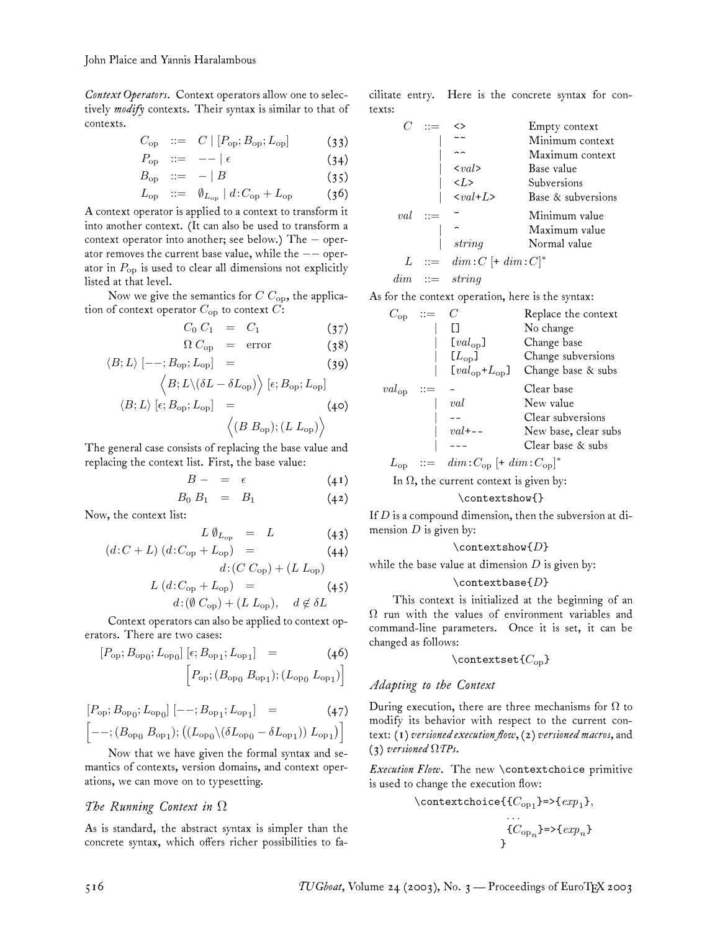*Context Operators.* Context operators allow one to selectively *modify* contexts. Their syntax is similar to that of contexts.

$$
C_{\rm op} \quad ::= \quad C \mid [P_{\rm op}; B_{\rm op}; L_{\rm op}] \tag{33}
$$

$$
P_{\rm op} \quad ::= \quad -- \mid \epsilon \tag{34}
$$

$$
B_{\rm op} \quad ::= \quad - \mid B \tag{35}
$$

$$
L_{\rm op} \quad ::= \quad \emptyset_{L_{\rm op}} \mid d \colon C_{\rm op} + L_{\rm op} \tag{36}
$$

A context operator is applied to a context to transform it into another context. (It can also be used to transform a context operator into another; see below.) The − operator removes the current base value, while the  $-$  operator in  $P_{\text{op}}$  is used to clear all dimensions not explicitly listed at that level.

Now we give the semantics for  $C$   $C_{op}$ , the application of context operator  $C_{op}$  to context  $C$ :

$$
C_0 C_1 = C_1 \qquad \qquad (37)
$$

$$
\begin{array}{rcl}\n\Omega \ C_{\rm op} & = & \text{error} \\
\langle B; L \rangle \ [- -; B_{\rm op}; L_{\rm op}] & = & (39)\n\end{array}
$$

$$
\langle B; L \backslash (\delta L - \delta L_{op}) \rangle [\epsilon; B_{op}; L_{op}]
$$
  

$$
\langle B; L \rangle [\epsilon; B_{op}; L_{op}] = \langle (40) \langle (B B_{op}); (L L_{op}) \rangle
$$

The general case consists of replacing the base value and replacing the context list. First, the base value:

$$
B - = \epsilon \tag{4I}
$$

$$
B_0 \ B_1 \quad = \quad B_1 \tag{42}
$$

Now, the context list:

$$
L \emptyset_{L_{\rm op}} = L \tag{43}
$$

$$
(d:C+L)(d:C_{\rm op} + L_{\rm op}) = (44)
$$
  

$$
d:(C\ C_{\rm op}) + (L\ L_{\rm op})
$$

$$
L (d:C_{\rm op} + L_{\rm op}) = (45)
$$
  

$$
d: (\emptyset C_{\rm op}) + (L L_{\rm op}), \quad d \notin \delta L
$$

Context operators can also be applied to context operators. There are two cases:

$$
[P_{\rm op}; B_{\rm op0}; L_{\rm op0}] \left[ \epsilon; B_{\rm op1}; L_{\rm op1} \right] = (46)
$$

$$
\left[ P_{\rm op}; (B_{\rm op0} B_{\rm op1}); (L_{\rm op0} L_{\rm op1}) \right]
$$

$$
[P_{\rm op}; B_{\rm op0}; L_{\rm op0}] [--; B_{\rm op1}; L_{\rm op1}] = (47)
$$
  

$$
[--; (B_{\rm op0} B_{\rm op1}); ((L_{\rm op0} \setminus (\delta L_{\rm op0} - \delta L_{\rm op1})) L_{\rm op1})]
$$

Now that we have given the formal syntax and semantics of contexts, version domains, and context operations, we can move on to typesetting.

## *The Running Context in* Ω

As is standard, the abstract syntax is simpler than the concrete syntax, which offers richer possibilities to facilitate entry. Here is the concrete syntax for contexts:

| $C$ | ::= $\Leftrightarrow$ | Empty context   |
|-----|-----------------------|-----------------|
| ~   | ~                     | Minimum context |
| ~   | ~                     | Maximum context |
| ~   | ~                     | Base value      |
| ~   | ~                     | 50              |
| ~   | ~                     | 50              |
| ~   | ~                     | 90              |
| ~   | 50                    |                 |
| ~   | 10                    |                 |
| ~   | 10                    |                 |
| ~   | 10                    |                 |
| ~   | 10                    |                 |
| ~   | 10                    |                 |
| ~   | 10                    |                 |
| ~   | 10                    |                 |
| ~   | 10                    |                 |
| ~   | 10                    |                 |
| ~   | 10                    |                 |
| ~   | 10                    |                 |
| ~   | 10                    |                 |
| ~   | 10                    |                 |
| ~   | 10                    |                 |
| ~   | 10                    |                 |
| ~   | 10                    |                 |
| ~   | 10                    |                 |
| ~   | 10                    |                 |
| ~   | 10                    |                 |
| ~   | 10                    |                 |
| ~   | 10                    |                 |
| ~   | 10                    |                 |
| ~   | 10                    |                 |
| ~   | 10 </td               |                 |

$$
dim \quad ::= \quad string
$$

As for the context operation, here is the syntax:

| $C_{op}$   | $::=$               | $C$                  | Replace the context |
|------------|---------------------|----------------------|---------------------|
| [          | [                   | No change            |                     |
| [          | $[val_{op}]$        | Change base          |                     |
| [          | $[L_{op}]$          | Change subversions   |                     |
| [          | $[val_{op}+L_{op}]$ | Change base & subs   |                     |
| $val_{op}$ | $::=$               | Clear base           |                     |
|            | val                 | New value            |                     |
|            | -                   | Clear subversions    |                     |
|            | val+--              | New base, clear subs |                     |
|            | --                  | Clear base & subs    |                     |

$$
L_{\rm op} \quad ::= \quad \dim: C_{\rm op} \; [+\; \dim: C_{\rm op}]^*
$$

In  $\Omega$ , the current context is given by:

# \contextshow{}

If  $D$  is a compound dimension, then the subversion at dimension  $D$  is given by:

#### $\text{contextshow}\{D\}$

while the base value at dimension  $D$  is given by:

#### $\text{const}$ base $\{D\}$

This context is initialized at the beginning of an  $\Omega$  run with the values of environment variables and command-line parameters. Once it is set, it can be changed as follows:

$$
\verb+\contextSet+\{C_{op}\}
$$

### *Adapting to the Context*

During execution, there are three mechanisms for  $\Omega$  to modify its behavior with respect to the current context: (1) *versioned execution flow*, (2) *versioned macros*, and (3) *versioned* Ω*TPs*.

*Execution Flow.* The new \contextchoice primitive is used to change the execution flow:

$$
\verb"\contextchoice{({C_{op1}}}=>{exp_1},\ldots, {C_{opn}}=>{exp_n},\ldots, {C_{opn}}=>{exp_n}
$$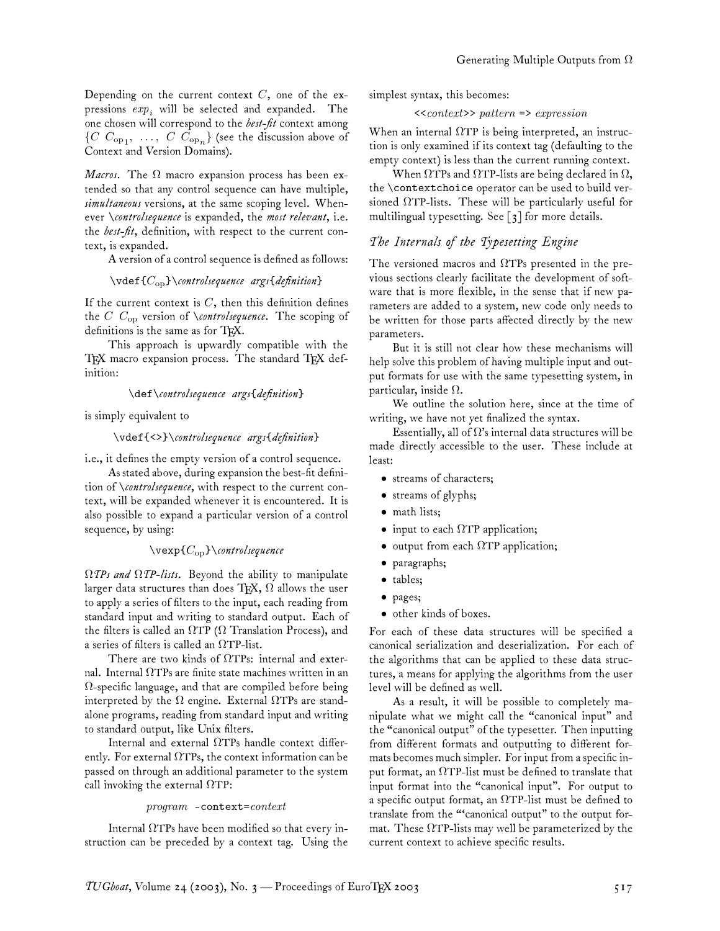Depending on the current context  $C$ , one of the expressions  $exp_i$  will be selected and expanded. The one chosen will correspond to the *best-fit* context among  $\{C \ C_{\text{op}_1}, \ \ldots, \ C \ C_{\text{op}_n}\}$  (see the discussion above of Context and Version Domains).

*Macros.* The  $\Omega$  macro expansion process has been extended so that any control sequence can have multiple, *simultaneous* versions, at the same scoping level. Whenever \*controlsequence* is expanded, the *most relevant*, i.e. the *best-fit*, definition, with respect to the current context, is expanded.

A version of a control sequence is defined as follows:

#### \vdef{Cop}\*controlsequence args*{*definition*}

If the current context is  $C$ , then this definition defines the C Cop version of \*controlsequence*. The scoping of definitions is the same as for TFX.

This approach is upwardly compatible with the TEX macro expansion process. The standard TEX definition:

## \def\*controlsequence args*{*definition*}

is simply equivalent to

#### \vdef{<>}\*controlsequence args*{*definition*}

i.e., it defines the empty version of a control sequence.

As stated above, during expansion the best-fit definition of \*controlsequence*, with respect to the current context, will be expanded whenever it is encountered. It is also possible to expand a particular version of a control sequence, by using:

## \vexp{Cop}\*controlsequence*

Ω*TPs and* Ω*TP-lists.* Beyond the ability to manipulate larger data structures than does TEX,  $\Omega$  allows the user to apply a series of filters to the input, each reading from standard input and writing to standard output. Each of the filters is called an  $\Omega$ TP ( $\Omega$  Translation Process), and a series of filters is called an ΩTP-list.

There are two kinds of ΩTPs: internal and external. Internal ΩTPs are finite state machines written in an  $\Omega$ -specific language, and that are compiled before being interpreted by the  $\Omega$  engine. External  $\Omega$ TPs are standalone programs, reading from standard input and writing to standard output, like Unix filters.

Internal and external ΩTPs handle context differently. For external  $\Omega$ TPs, the context information can be passed on through an additional parameter to the system call invoking the external  $\Omega$ TP:

#### program -context=context

Internal  $\Omega$ TPs have been modified so that every instruction can be preceded by a context tag. Using the simplest syntax, this becomes:

<<context>> pattern => expression

When an internal  $\Omega$ TP is being interpreted, an instruction is only examined if its context tag (defaulting to the empty context) is less than the current running context.

When  $\Omega$ TPs and  $\Omega$ TP-lists are being declared in  $\Omega,$ the \contextchoice operator can be used to build versioned  $\Omega$ TP-lists. These will be particularly useful for multilingual typesetting. See  $\lceil 3 \rceil$  for more details.

# *The Internals of the Typesetting Engine*

The versioned macros and  $\Omega$ TPs presented in the previous sections clearly facilitate the development of software that is more flexible, in the sense that if new parameters are added to a system, new code only needs to be written for those parts affected directly by the new parameters.

But it is still not clear how these mechanisms will help solve this problem of having multiple input and output formats for use with the same typesetting system, in particular, inside  $\Omega$ .

We outline the solution here, since at the time of writing, we have not yet finalized the syntax.

Essentially, all of  $\Omega$ 's internal data structures will be made directly accessible to the user. These include at least:

- streams of characters;
- streams of glyphs;
- math lists;
- $\bullet$  input to each  $\Omega$ TP application;
- $\bullet$  output from each  $\Omega$ TP application;
- paragraphs;
- tables;
- pages;
- other kinds of boxes.

For each of these data structures will be specified a canonical serialization and deserialization. For each of the algorithms that can be applied to these data structures, a means for applying the algorithms from the user level will be defined as well.

As a result, it will be possible to completely manipulate what we might call the "canonical input" and the "canonical output" of the typesetter. Then inputting from different formats and outputting to different formats becomes much simpler. For input from a specific input format, an  $\Omega$ TP-list must be defined to translate that input format into the "canonical input". For output to a specific output format, an  $\Omega$ TP-list must be defined to translate from the "'canonical output" to the output format. These  $\Omega$ TP-lists may well be parameterized by the current context to achieve specific results.